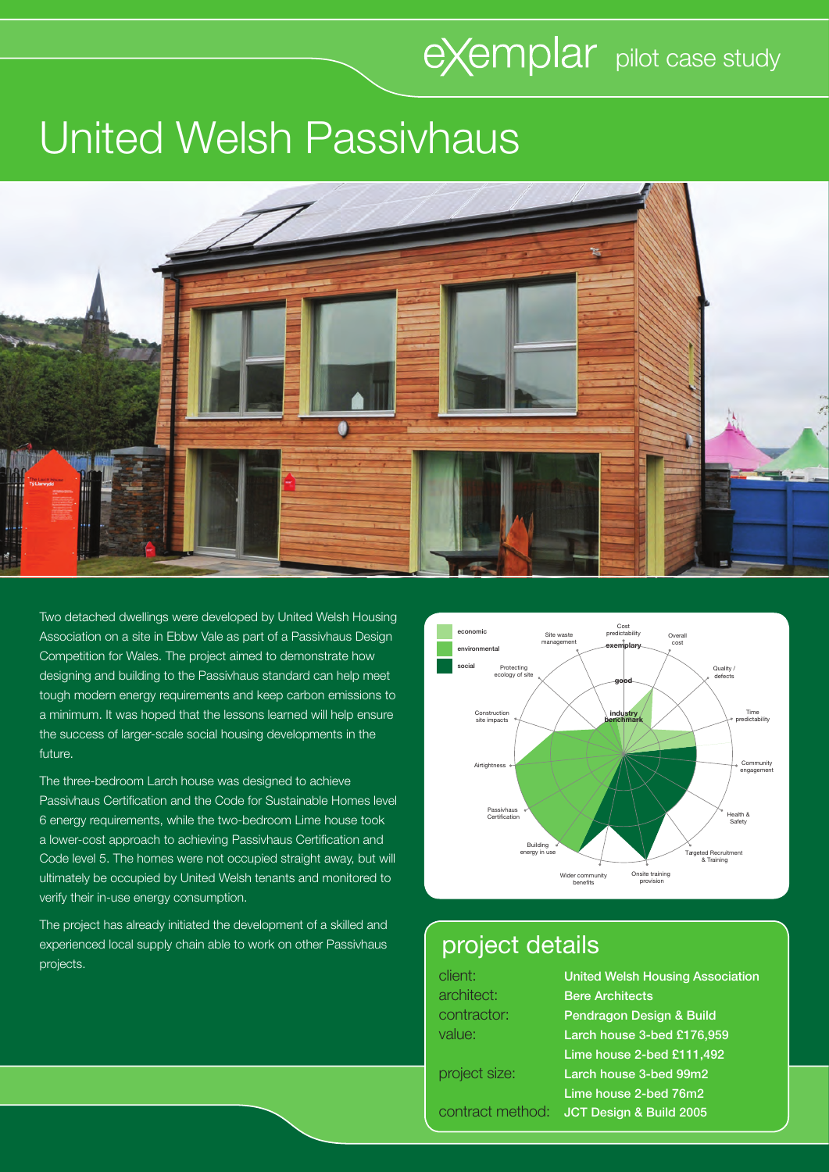# eXemplar pilot case study

## United Welsh Passivhaus



Two detached dwellings were developed by United Welsh Housing Association on a site in Ebbw Vale as part of a Passivhaus Design Competition for Wales. The project aimed to demonstrate how designing and building to the Passivhaus standard can help meet tough modern energy requirements and keep carbon emissions to a minimum. It was hoped that the lessons learned will help ensure the success of larger-scale social housing developments in the future.

The three-bedroom Larch house was designed to achieve Passivhaus Certification and the Code for Sustainable Homes level 6 energy requirements, while the two-bedroom Lime house took a lower-cost approach to achieving Passivhaus Certification and Code level 5. The homes were not occupied straight away, but will ultimately be occupied by United Welsh tenants and monitored to verify their in-use energy consumption.

The project has already initiated the development of a skilled and experienced local supply chain able to work on other Passivhaus projects.



## project details

client: United Welsh Housing Association architect: Bere Architects contractor: Pendragon Design & Build value: Larch house 3-bed £176,959 Lime house 2-bed £111,492 project size: Larch house 3-bed 99m2 Lime house 2-bed 76m2 contract method: JCT Design & Build 2005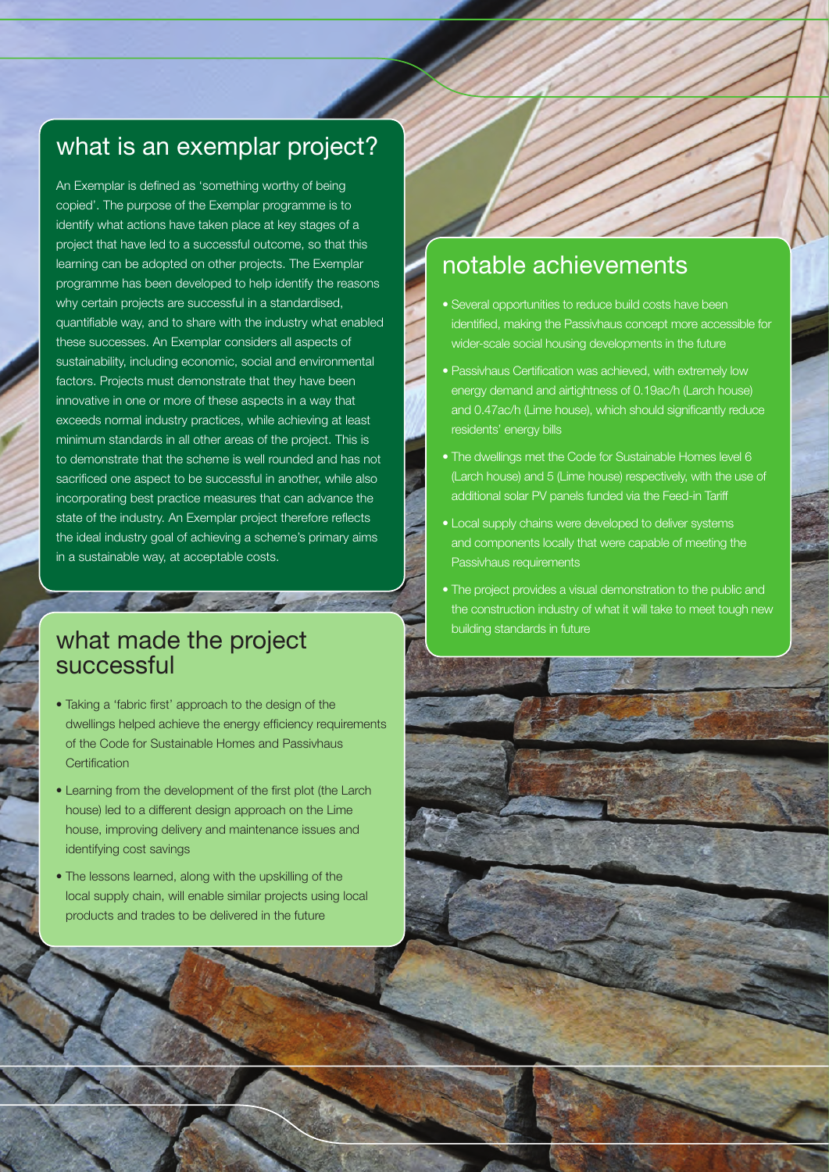## what is an exemplar project?

An Exemplar is defined as 'something worthy of being copied'. The purpose of the Exemplar programme is to identify what actions have taken place at key stages of a project that have led to a successful outcome, so that this learning can be adopted on other projects. The Exemplar programme has been developed to help identify the reasons why certain projects are successful in a standardised, quantifiable way, and to share with the industry what enabled these successes. An Exemplar considers all aspects of sustainability, including economic, social and environmental factors. Projects must demonstrate that they have been innovative in one or more of these aspects in a way that exceeds normal industry practices, while achieving at least minimum standards in all other areas of the project. This is to demonstrate that the scheme is well rounded and has not sacrificed one aspect to be successful in another, while also incorporating best practice measures that can advance the state of the industry. An Exemplar project therefore reflects the ideal industry goal of achieving a scheme's primary aims in a sustainable way, at acceptable costs.

#### what made the project successful

• Taking a 'fabric first' approach to the design of the dwellings helped achieve the energy efficiency requirements of the Code for Sustainable Homes and Passivhaus Certification

**Contract Contract Contract Contract** 

- Learning from the development of the first plot (the Larch house) led to a different design approach on the Lime house, improving delivery and maintenance issues and identifying cost savings
- The lessons learned, along with the upskilling of the local supply chain, will enable similar projects using local products and trades to be delivered in the future

## notable achievements

- Several opportunities to reduce build costs have been identified, making the Passivhaus concept more accessible for wider-scale social housing developments in the future
- Passivhaus Certification was achieved, with extremely low energy demand and airtightness of 0.19ac/h (Larch house) and 0.47ac/h (Lime house), which should significantly reduce residents' energy bills
- The dwellings met the Code for Sustainable Homes level 6 (Larch house) and 5 (Lime house) respectively, with the use of additional solar PV panels funded via the Feed-in Tariff
- Local supply chains were developed to deliver systems and components locally that were capable of meeting the Passivhaus requirements
- The project provides a visual demonstration to the public and the construction industry of what it will take to meet tough new building standards in future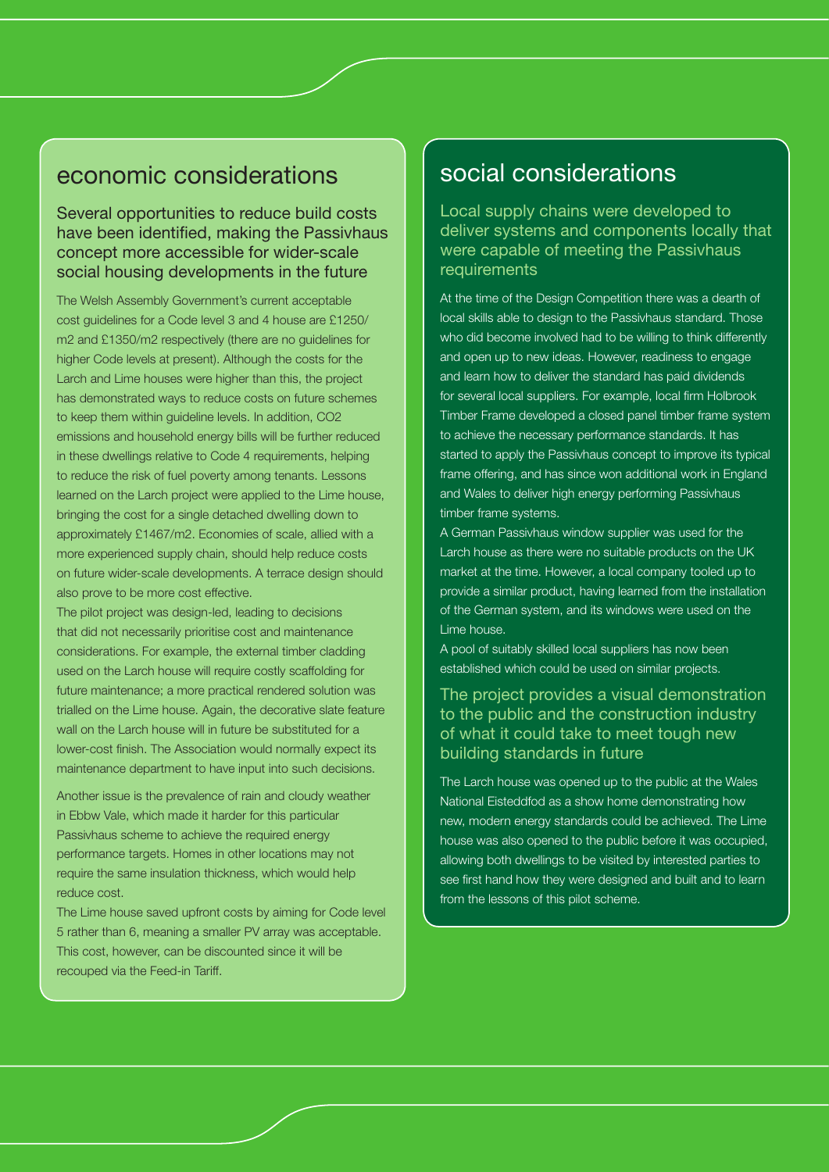#### economic considerations

#### Several opportunities to reduce build costs have been identified, making the Passivhaus concept more accessible for wider-scale social housing developments in the future

The Welsh Assembly Government's current acceptable cost guidelines for a Code level 3 and 4 house are £1250/ m2 and £1350/m2 respectively (there are no guidelines for higher Code levels at present). Although the costs for the Larch and Lime houses were higher than this, the project has demonstrated ways to reduce costs on future schemes to keep them within guideline levels. In addition, CO2 emissions and household energy bills will be further reduced in these dwellings relative to Code 4 requirements, helping to reduce the risk of fuel poverty among tenants. Lessons learned on the Larch project were applied to the Lime house, bringing the cost for a single detached dwelling down to approximately £1467/m2. Economies of scale, allied with a more experienced supply chain, should help reduce costs on future wider-scale developments. A terrace design should also prove to be more cost effective.

The pilot project was design-led, leading to decisions that did not necessarily prioritise cost and maintenance considerations. For example, the external timber cladding used on the Larch house will require costly scaffolding for future maintenance; a more practical rendered solution was trialled on the Lime house. Again, the decorative slate feature wall on the Larch house will in future be substituted for a lower-cost finish. The Association would normally expect its maintenance department to have input into such decisions.

Another issue is the prevalence of rain and cloudy weather in Ebbw Vale, which made it harder for this particular Passivhaus scheme to achieve the required energy performance targets. Homes in other locations may not require the same insulation thickness, which would help reduce cost.

The Lime house saved upfront costs by aiming for Code level 5 rather than 6, meaning a smaller PV array was acceptable. This cost, however, can be discounted since it will be recouped via the Feed-in Tariff.

#### social considerations

Local supply chains were developed to deliver systems and components locally that were capable of meeting the Passivhaus requirements

At the time of the Design Competition there was a dearth of local skills able to design to the Passivhaus standard. Those who did become involved had to be willing to think differently and open up to new ideas. However, readiness to engage and learn how to deliver the standard has paid dividends for several local suppliers. For example, local firm Holbrook Timber Frame developed a closed panel timber frame system to achieve the necessary performance standards. It has started to apply the Passivhaus concept to improve its typical frame offering, and has since won additional work in England and Wales to deliver high energy performing Passivhaus timber frame systems.

A German Passivhaus window supplier was used for the Larch house as there were no suitable products on the UK market at the time. However, a local company tooled up to provide a similar product, having learned from the installation of the German system, and its windows were used on the Lime house.

A pool of suitably skilled local suppliers has now been established which could be used on similar projects.

#### The project provides a visual demonstration to the public and the construction industry of what it could take to meet tough new building standards in future

The Larch house was opened up to the public at the Wales National Eisteddfod as a show home demonstrating how new, modern energy standards could be achieved. The Lime house was also opened to the public before it was occupied, allowing both dwellings to be visited by interested parties to see first hand how they were designed and built and to learn from the lessons of this pilot scheme.